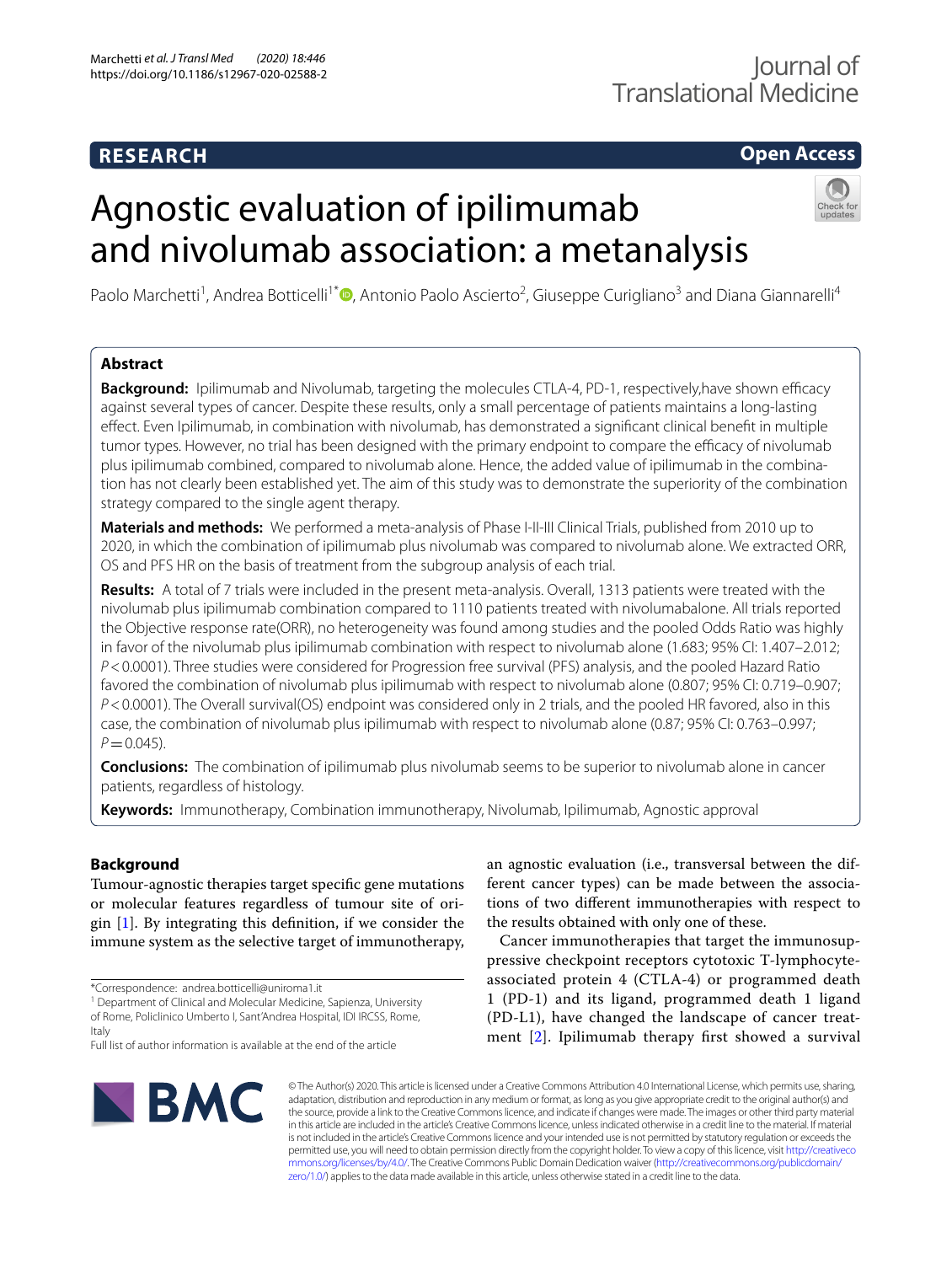# **RESEARCH**

# **Open Access**

# Agnostic evaluation of ipilimumab and nivolumab association: a metanalysis



Paolo Marchetti<sup>1</sup>, Andrea Botticelli<sup>1[\\*](http://orcid.org/0000-0002-6425-9893)</sup><sup>®</sup>, Antonio Paolo Ascierto<sup>2</sup>, Giuseppe Curigliano<sup>3</sup> and Diana Giannarelli<sup>4</sup>

## **Abstract**

Background: Ipilimumab and Nivolumab, targeting the molecules CTLA-4, PD-1, respectively, have shown efficacy against several types of cancer. Despite these results, only a small percentage of patients maintains a long-lasting efect. Even Ipilimumab, in combination with nivolumab, has demonstrated a signifcant clinical beneft in multiple tumor types. However, no trial has been designed with the primary endpoint to compare the efficacy of nivolumab plus ipilimumab combined, compared to nivolumab alone. Hence, the added value of ipilimumab in the combination has not clearly been established yet. The aim of this study was to demonstrate the superiority of the combination strategy compared to the single agent therapy.

**Materials and methods:** We performed a meta-analysis of Phase I-II-III Clinical Trials, published from 2010 up to 2020, in which the combination of ipilimumab plus nivolumab was compared to nivolumab alone. We extracted ORR, OS and PFS HR on the basis of treatment from the subgroup analysis of each trial.

**Results:** A total of 7 trials were included in the present meta-analysis. Overall, 1313 patients were treated with the nivolumab plus ipilimumab combination compared to 1110 patients treated with nivolumabalone. All trials reported the Objective response rate(ORR), no heterogeneity was found among studies and the pooled Odds Ratio was highly in favor of the nivolumab plus ipilimumab combination with respect to nivolumab alone (1.683; 95% CI: 1.407–2.012; *P*<0.0001). Three studies were considered for Progression free survival (PFS) analysis, and the pooled Hazard Ratio favored the combination of nivolumab plus ipilimumab with respect to nivolumab alone (0.807; 95% CI: 0.719–0.907; *P*<0.0001). The Overall survival(OS) endpoint was considered only in 2 trials, and the pooled HR favored, also in this case, the combination of nivolumab plus ipilimumab with respect to nivolumab alone (0.87; 95% CI: 0.763–0.997;  $P = 0.045$ ).

**Conclusions:** The combination of ipilimumab plus nivolumab seems to be superior to nivolumab alone in cancer patients, regardless of histology.

**Keywords:** Immunotherapy, Combination immunotherapy, Nivolumab, Ipilimumab, Agnostic approval

### **Background**

Tumour-agnostic therapies target specifc gene mutations or molecular features regardless of tumour site of origin [\[1](#page-6-0)]. By integrating this defnition, if we consider the immune system as the selective target of immunotherapy,

\*Correspondence: andrea.botticelli@uniroma1.it

<sup>1</sup> Department of Clinical and Molecular Medicine, Sapienza, University of Rome, Policlinico Umberto I, Sant'Andrea Hospital, IDI IRCSS, Rome, Italy

an agnostic evaluation (i.e., transversal between the different cancer types) can be made between the associations of two diferent immunotherapies with respect to the results obtained with only one of these.

Cancer immunotherapies that target the immunosuppressive checkpoint receptors cytotoxic T-lymphocyteassociated protein 4 (CTLA-4) or programmed death 1 (PD-1) and its ligand, programmed death 1 ligand (PD-L1), have changed the landscape of cancer treatment [\[2](#page-6-1)]. Ipilimumab therapy frst showed a survival



© The Author(s) 2020. This article is licensed under a Creative Commons Attribution 4.0 International License, which permits use, sharing, adaptation, distribution and reproduction in any medium or format, as long as you give appropriate credit to the original author(s) and the source, provide a link to the Creative Commons licence, and indicate if changes were made. The images or other third party material in this article are included in the article's Creative Commons licence, unless indicated otherwise in a credit line to the material. If material is not included in the article's Creative Commons licence and your intended use is not permitted by statutory regulation or exceeds the permitted use, you will need to obtain permission directly from the copyright holder. To view a copy of this licence, visit [http://creativeco](http://creativecommons.org/licenses/by/4.0/) [mmons.org/licenses/by/4.0/.](http://creativecommons.org/licenses/by/4.0/) The Creative Commons Public Domain Dedication waiver ([http://creativecommons.org/publicdomain/](http://creativecommons.org/publicdomain/zero/1.0/) [zero/1.0/\)](http://creativecommons.org/publicdomain/zero/1.0/) applies to the data made available in this article, unless otherwise stated in a credit line to the data.

Full list of author information is available at the end of the article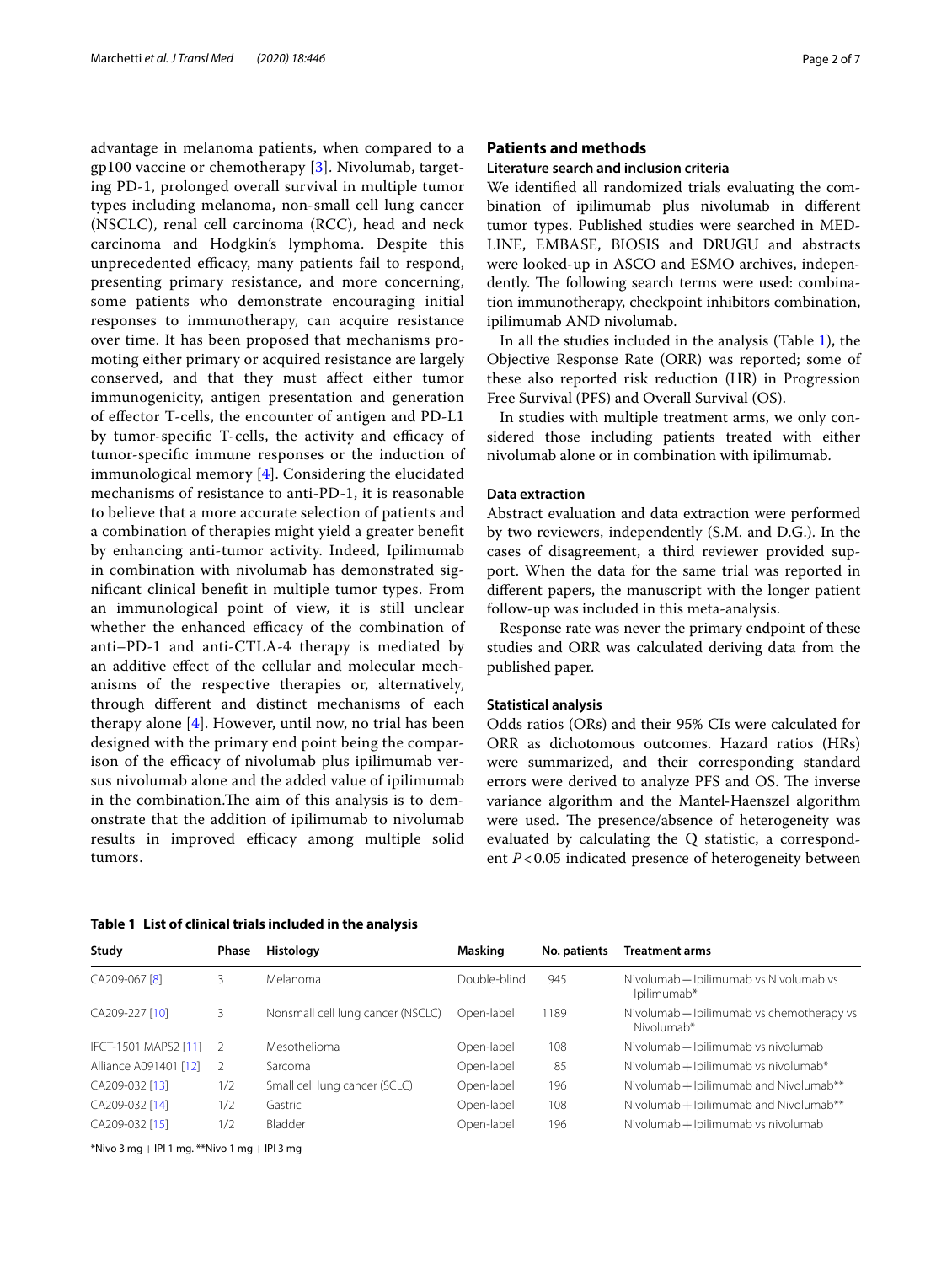advantage in melanoma patients, when compared to a gp100 vaccine or chemotherapy [\[3](#page-6-2)]. Nivolumab, targeting PD-1, prolonged overall survival in multiple tumor types including melanoma, non-small cell lung cancer (NSCLC), renal cell carcinoma (RCC), head and neck carcinoma and Hodgkin's lymphoma. Despite this unprecedented efficacy, many patients fail to respond, presenting primary resistance, and more concerning, some patients who demonstrate encouraging initial responses to immunotherapy, can acquire resistance over time. It has been proposed that mechanisms promoting either primary or acquired resistance are largely conserved, and that they must afect either tumor immunogenicity, antigen presentation and generation of efector T-cells, the encounter of antigen and PD-L1 by tumor-specific T-cells, the activity and efficacy of tumor-specifc immune responses or the induction of immunological memory [[4\]](#page-6-3). Considering the elucidated mechanisms of resistance to anti-PD-1, it is reasonable to believe that a more accurate selection of patients and a combination of therapies might yield a greater beneft by enhancing anti-tumor activity. Indeed, Ipilimumab in combination with nivolumab has demonstrated signifcant clinical beneft in multiple tumor types. From an immunological point of view, it is still unclear whether the enhanced efficacy of the combination of anti–PD-1 and anti-CTLA-4 therapy is mediated by an additive efect of the cellular and molecular mechanisms of the respective therapies or, alternatively, through diferent and distinct mechanisms of each therapy alone [[4\]](#page-6-3). However, until now, no trial has been designed with the primary end point being the comparison of the efficacy of nivolumab plus ipilimumab versus nivolumab alone and the added value of ipilimumab in the combination. The aim of this analysis is to demonstrate that the addition of ipilimumab to nivolumab results in improved efficacy among multiple solid tumors.

#### **Patients and methods**

#### **Literature search and inclusion criteria**

We identifed all randomized trials evaluating the combination of ipilimumab plus nivolumab in diferent tumor types. Published studies were searched in MED-LINE, EMBASE, BIOSIS and DRUGU and abstracts were looked-up in ASCO and ESMO archives, independently. The following search terms were used: combination immunotherapy, checkpoint inhibitors combination, ipilimumab AND nivolumab.

In all the studies included in the analysis (Table [1](#page-1-0)), the Objective Response Rate (ORR) was reported; some of these also reported risk reduction (HR) in Progression Free Survival (PFS) and Overall Survival (OS).

In studies with multiple treatment arms, we only considered those including patients treated with either nivolumab alone or in combination with ipilimumab.

#### **Data extraction**

Abstract evaluation and data extraction were performed by two reviewers, independently (S.M. and D.G.). In the cases of disagreement, a third reviewer provided support. When the data for the same trial was reported in diferent papers, the manuscript with the longer patient follow-up was included in this meta-analysis.

Response rate was never the primary endpoint of these studies and ORR was calculated deriving data from the published paper.

#### **Statistical analysis**

Odds ratios (ORs) and their 95% CIs were calculated for ORR as dichotomous outcomes. Hazard ratios (HRs) were summarized, and their corresponding standard errors were derived to analyze PFS and OS. The inverse variance algorithm and the Mantel‐Haenszel algorithm were used. The presence/absence of heterogeneity was evaluated by calculating the Q statistic, a correspondent *P*<0.05 indicated presence of heterogeneity between

<span id="page-1-0"></span>

|  |  |  | Table 1 List of clinical trials included in the analysis |
|--|--|--|----------------------------------------------------------|
|--|--|--|----------------------------------------------------------|

| Study                    | <b>Phase</b>   | Histology                         | Masking      | No. patients | <b>Treatment arms</b>                                   |
|--------------------------|----------------|-----------------------------------|--------------|--------------|---------------------------------------------------------|
| CA209-067 <sup>[8]</sup> | 3              | Melanoma                          | Double-blind | 945          | Nivolumab + Ipilimumab vs Nivolumab vs<br>Ipilimumab*   |
| CA209-227 [10]           | 3              | Nonsmall cell lung cancer (NSCLC) | Open-label   | 1189         | Nivolumab + Ipilimumab vs chemotherapy vs<br>Nivolumab* |
| IFCT-1501 MAPS2 [11]     | $\overline{2}$ | Mesothelioma                      | Open-label   | 108          | Nivolumab + Ipilimumab vs nivolumab                     |
| Alliance A091401 [12]    | - 2            | Sarcoma                           | Open-label   | 85           | Nivolumab + Ipilimumab vs nivolumab*                    |
| CA209-032 [13]           | 1/2            | Small cell lung cancer (SCLC)     | Open-label   | 196          | Nivolumab + Ipilimumab and Nivolumab**                  |
| CA209-032 [14]           | 1/2            | Gastric                           | Open-label   | 108          | Nivolumab + Ipilimumab and Nivolumab**                  |
| CA209-032 [15]           | 1/2            | Bladder                           | Open-label   | 196          | Nivolumab + Ipilimumab vs nivolumab                     |

\*Nivo 3 mg+IPI 1 mg. \*\*Nivo 1 mg+IPI 3 mg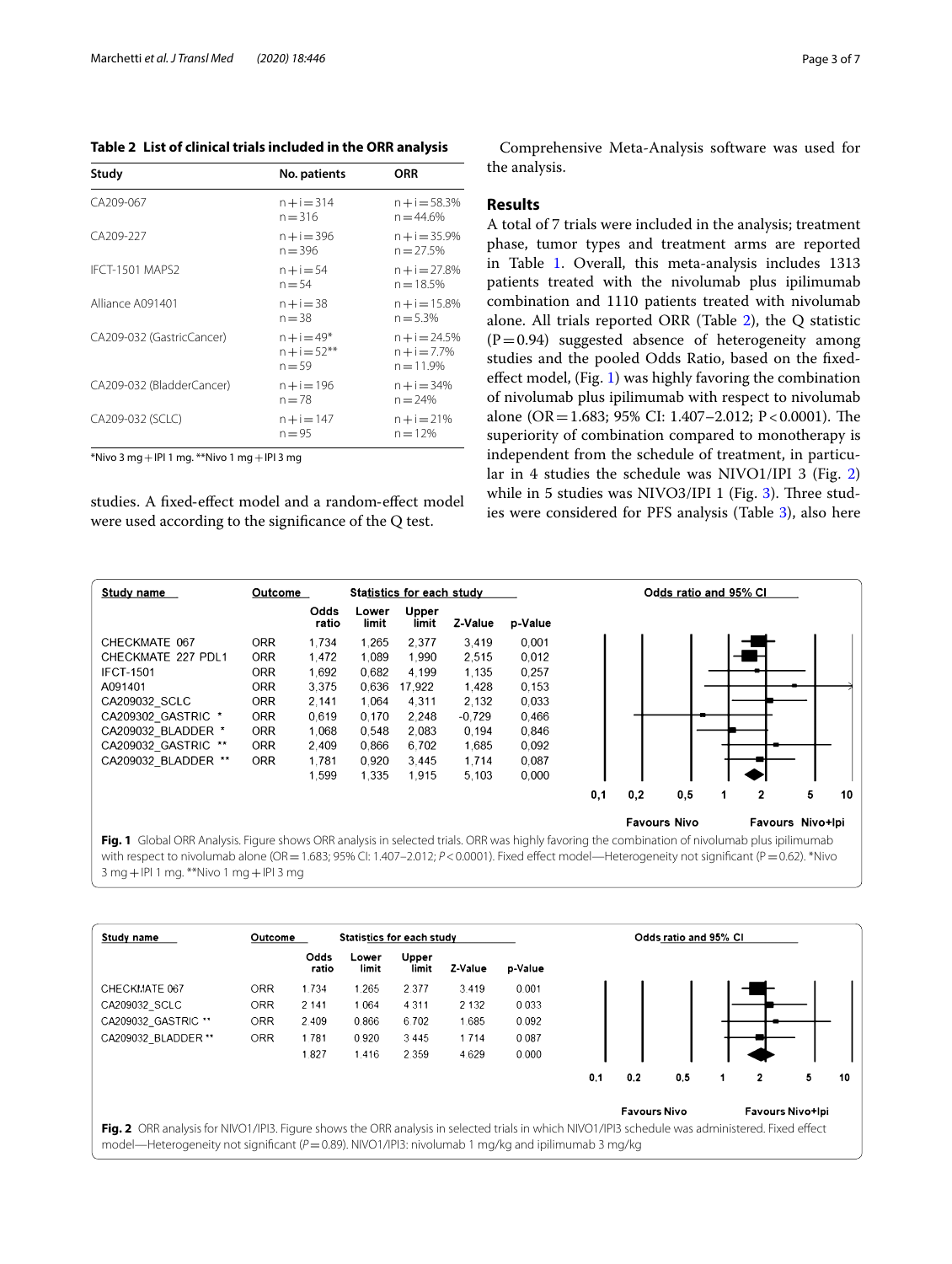<span id="page-2-0"></span>**Table 2 List of clinical trials included in the ORR analysis**

| Study                     | No. patients                                 | ORR                                              |
|---------------------------|----------------------------------------------|--------------------------------------------------|
| CA209-067                 | $n + i = 314$<br>$n = 316$                   | $n+i = 58.3%$<br>$n = 44.6%$                     |
| CA209-227                 | $n + i = 396$<br>$n = 396$                   | $n + i = 35.9%$<br>$n = 27.5%$                   |
| <b>IFCT-1501 MAPS2</b>    | $n + i = 54$<br>$n = 54$                     | $n+i=27.8%$<br>$n = 18.5%$                       |
| Alliance A091401          | $n + i = 38$<br>$n = 38$                     | $n+i=15.8%$<br>$n = 5.3%$                        |
| CA209-032 (GastricCancer) | $n + i = 49*$<br>$n + i = 52***$<br>$n = 59$ | $n + i = 24.5%$<br>$n + i = 7.7%$<br>$n = 11.9%$ |
| CA209-032 (BladderCancer) | $n + i = 196$<br>$n = 78$                    | n + i = 34%<br>$n = 24%$                         |
| CA209-032 (SCLC)          | $n + i = 147$<br>$n = 95$                    | $n + i = 21%$<br>$n = 12%$                       |

 $*$ Nivo 3 mg + IPI 1 mg.  $**$ Nivo 1 mg + IPI 3 mg

studies. A fxed‐efect model and a random‐efect model were used according to the signifcance of the Q test.

Comprehensive Meta-Analysis software was used for the analysis.

#### **Results**

A total of 7 trials were included in the analysis; treatment phase, tumor types and treatment arms are reported in Table [1](#page-1-0). Overall, this meta-analysis includes 1313 patients treated with the nivolumab plus ipilimumab combination and 1110 patients treated with nivolumab alone. All trials reported ORR (Table [2\)](#page-2-0), the Q statistic  $(P=0.94)$  suggested absence of heterogeneity among studies and the pooled Odds Ratio, based on the fxedefect model, (Fig. [1\)](#page-2-1) was highly favoring the combination of nivolumab plus ipilimumab with respect to nivolumab alone (OR=1.683; 95% CI: 1.407-2.012; P < 0.0001). The superiority of combination compared to monotherapy is independent from the schedule of treatment, in particular in 4 studies the schedule was NIVO1/IPI 3 (Fig. [2](#page-2-2)) while in 5 studies was NIVO[3](#page-3-0)/IPI 1 (Fig.  $3$ ). Three studies were considered for PFS analysis (Table [3\)](#page-3-1), also here



<span id="page-2-1"></span>**Fig. 1** Global ORR Analysis. Figure shows ORR analysis in selected trials. ORR was highly favoring the combination of nivolumab plus ipilimumab with respect to nivolumab alone (OR = 1.683; 95% CI: 1.407-2.012;  $P < 0.0001$ ). Fixed effect model—Heterogeneity not significant (P = 0.62). \*Nivo 3 mg+IPI 1 mg. \*\*Nivo 1 mg+IPI 3 mg

<span id="page-2-2"></span>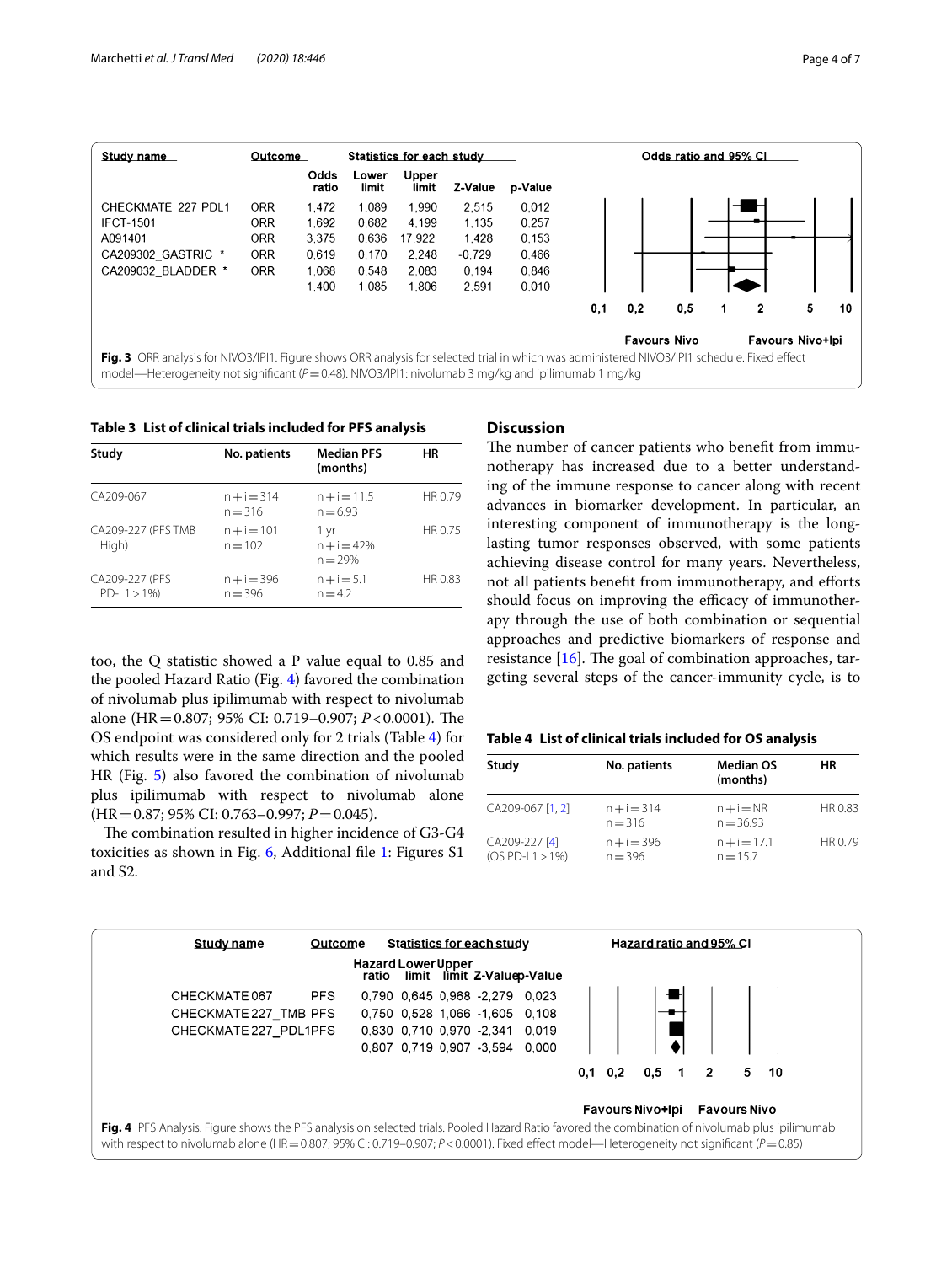

<span id="page-3-1"></span><span id="page-3-0"></span>**Table 3 List of clinical trials included for PFS analysis**

| Study                            | No. patients               | <b>Median PFS</b><br>(months)      | <b>HR</b> |
|----------------------------------|----------------------------|------------------------------------|-----------|
| CA209-067                        | $n + i = 314$<br>$n = 316$ | $n+i=11.5$<br>$n = 6.93$           | HR 0.79   |
| CA209-227 (PFS TMB<br>High)      | $n + i = 101$<br>$n = 102$ | 1 yr<br>$n + i = 42%$<br>$n = 29%$ | HR 0.75   |
| CA209-227 (PFS<br>$PD-L1 > 1\%)$ | $n + i = 396$<br>$n = 396$ | $n + i = 5.1$<br>$n = 4.2$         | HR 0.83   |

too, the Q statistic showed a P value equal to 0.85 and the pooled Hazard Ratio (Fig. [4\)](#page-3-2) favored the combination of nivolumab plus ipilimumab with respect to nivolumab alone (HR=0.807; 95% CI: 0.719–0.907; *P*<0.0001). The OS endpoint was considered only for 2 trials (Table [4](#page-3-3)) for which results were in the same direction and the pooled HR (Fig. [5](#page-4-0)) also favored the combination of nivolumab plus ipilimumab with respect to nivolumab alone (HR=0.87; 95% CI: 0.763–0.997; *P*=0.045).

The combination resulted in higher incidence of G3-G4 toxicities as shown in Fig. [6](#page-4-1), Additional fle [1:](#page-5-0) Figures S1 and S2.

#### **Discussion**

The number of cancer patients who benefit from immunotherapy has increased due to a better understanding of the immune response to cancer along with recent advances in biomarker development. In particular, an interesting component of immunotherapy is the longlasting tumor responses observed, with some patients achieving disease control for many years. Nevertheless, not all patients beneft from immunotherapy, and eforts should focus on improving the efficacy of immunotherapy through the use of both combination or sequential approaches and predictive biomarkers of response and resistance  $[16]$ . The goal of combination approaches, targeting several steps of the cancer-immunity cycle, is to

#### <span id="page-3-3"></span>**Table 4 List of clinical trials included for OS analysis**

| Study                              | No. patients               | <b>Median OS</b><br>(months) | ΗR      |
|------------------------------------|----------------------------|------------------------------|---------|
| CA209-067 [1, 2]                   | $n + i = 314$<br>$n = 316$ | $n+i=NR$<br>$n = 36.93$      | HR 0.83 |
| CA209-227 [4]<br>$(OS PD-L1 > 1%)$ | $n + i = 396$<br>$n = 396$ | $n + i = 17.1$<br>$n = 15.7$ | HR 0.79 |

<span id="page-3-2"></span>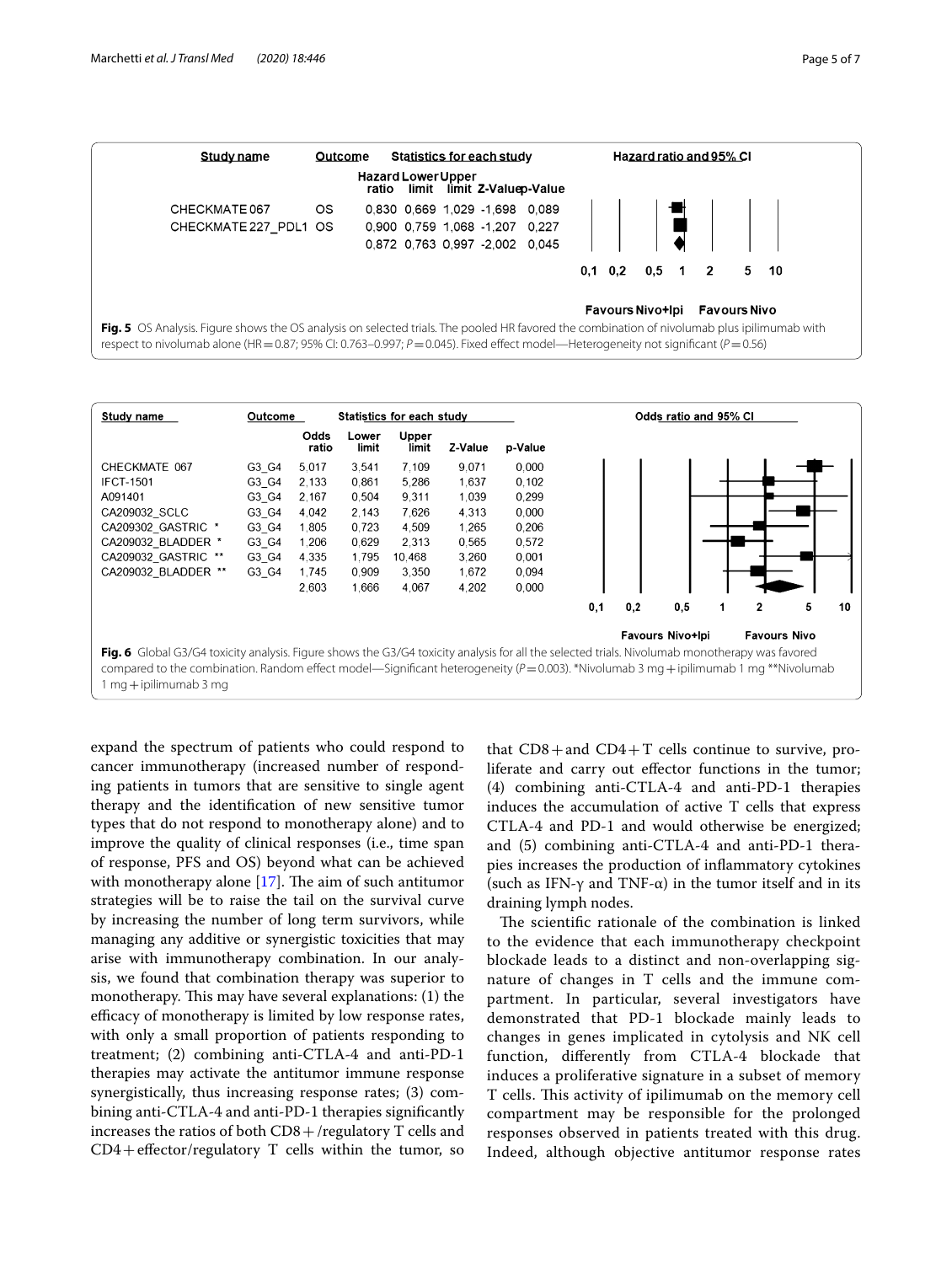

<span id="page-4-0"></span>

<span id="page-4-1"></span>expand the spectrum of patients who could respond to cancer immunotherapy (increased number of responding patients in tumors that are sensitive to single agent therapy and the identifcation of new sensitive tumor types that do not respond to monotherapy alone) and to improve the quality of clinical responses (i.e., time span of response, PFS and OS) beyond what can be achieved with monotherapy alone  $[17]$ . The aim of such antitumor strategies will be to raise the tail on the survival curve by increasing the number of long term survivors, while managing any additive or synergistic toxicities that may arise with immunotherapy combination. In our analysis, we found that combination therapy was superior to monotherapy. This may have several explanations: (1) the efficacy of monotherapy is limited by low response rates, with only a small proportion of patients responding to treatment; (2) combining anti-CTLA-4 and anti-PD-1 therapies may activate the antitumor immune response synergistically, thus increasing response rates; (3) combining anti-CTLA-4 and anti-PD-1 therapies signifcantly increases the ratios of both  $CD8 + /$ regulatory T cells and  $CD4 + effector/regularory T cells within the tumor, so$ 

that  $CD8+$  and  $CD4+T$  cells continue to survive, proliferate and carry out efector functions in the tumor; (4) combining anti-CTLA-4 and anti-PD-1 therapies induces the accumulation of active T cells that express CTLA-4 and PD-1 and would otherwise be energized; and (5) combining anti-CTLA-4 and anti-PD-1 therapies increases the production of infammatory cytokines (such as IFN- $\gamma$  and TNF- $\alpha$ ) in the tumor itself and in its draining lymph nodes.

The scientific rationale of the combination is linked to the evidence that each immunotherapy checkpoint blockade leads to a distinct and non-overlapping signature of changes in T cells and the immune compartment. In particular, several investigators have demonstrated that PD-1 blockade mainly leads to changes in genes implicated in cytolysis and NK cell function, diferently from CTLA-4 blockade that induces a proliferative signature in a subset of memory T cells. This activity of ipilimumab on the memory cell compartment may be responsible for the prolonged responses observed in patients treated with this drug. Indeed, although objective antitumor response rates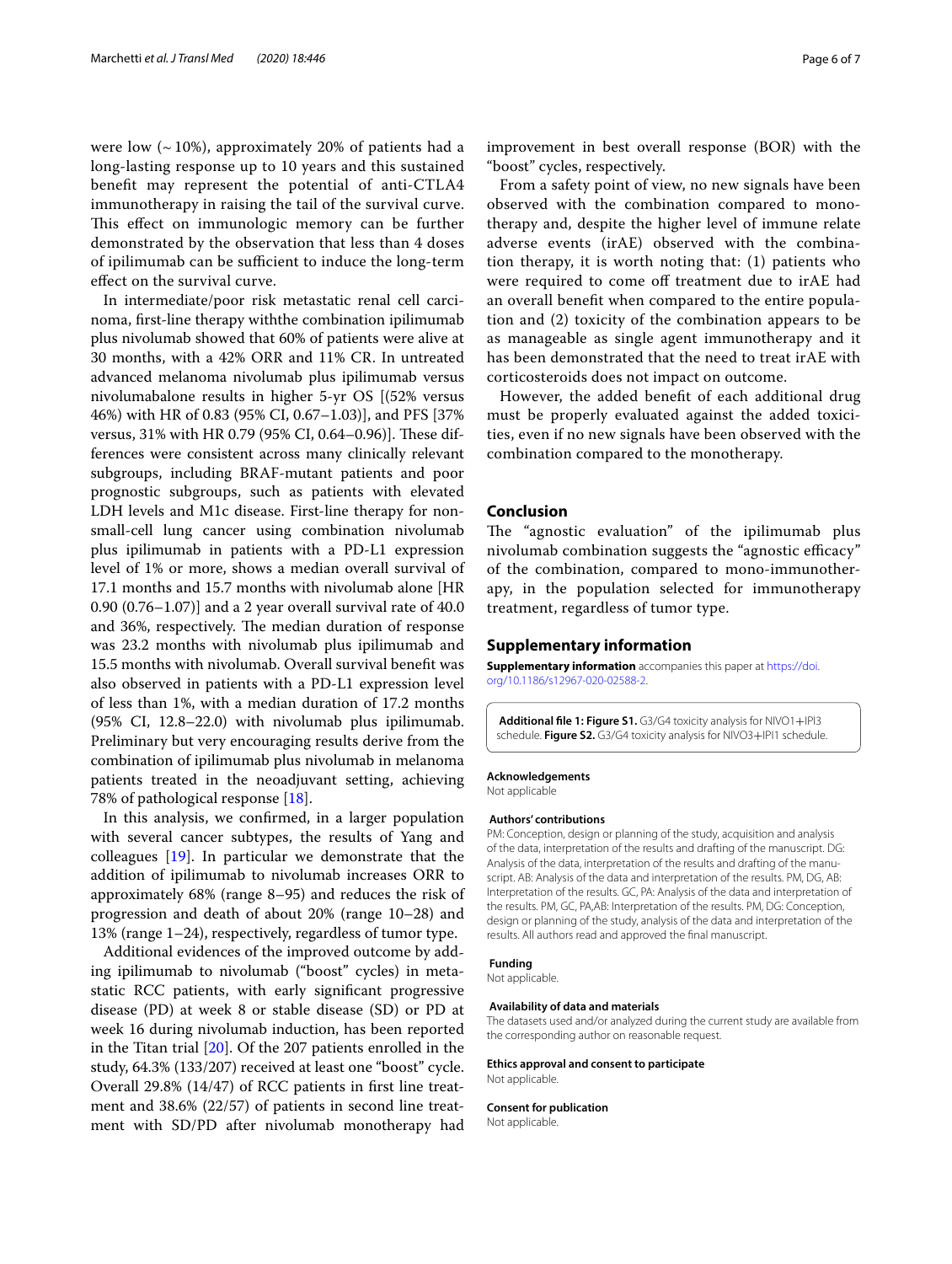were low  $({\sim}10\%)$ , approximately 20% of patients had a long-lasting response up to 10 years and this sustained beneft may represent the potential of anti-CTLA4 immunotherapy in raising the tail of the survival curve. This effect on immunologic memory can be further demonstrated by the observation that less than 4 doses of ipilimumab can be sufficient to induce the long-term efect on the survival curve.

In intermediate/poor risk metastatic renal cell carcinoma, frst-line therapy withthe combination ipilimumab plus nivolumab showed that 60% of patients were alive at 30 months, with a 42% ORR and 11% CR. In untreated advanced melanoma nivolumab plus ipilimumab versus nivolumabalone results in higher 5-yr OS [(52% versus 46%) with HR of 0.83 (95% CI, 0.67–1.03)], and PFS [37% versus, 31% with HR 0.79 (95% CI, 0.64-0.96)]. These differences were consistent across many clinically relevant subgroups, including BRAF-mutant patients and poor prognostic subgroups, such as patients with elevated LDH levels and M1c disease. First-line therapy for nonsmall-cell lung cancer using combination nivolumab plus ipilimumab in patients with a PD-L1 expression level of 1% or more, shows a median overall survival of 17.1 months and 15.7 months with nivolumab alone [HR 0.90 (0.76–1.07)] and a 2 year overall survival rate of 40.0 and 36%, respectively. The median duration of response was 23.2 months with nivolumab plus ipilimumab and 15.5 months with nivolumab. Overall survival beneft was also observed in patients with a PD-L1 expression level of less than 1%, with a median duration of 17.2 months (95% CI, 12.8–22.0) with nivolumab plus ipilimumab. Preliminary but very encouraging results derive from the combination of ipilimumab plus nivolumab in melanoma patients treated in the neoadjuvant setting, achieving 78% of pathological response [\[18](#page-6-13)].

In this analysis, we confrmed, in a larger population with several cancer subtypes, the results of Yang and colleagues [[19](#page-6-14)]. In particular we demonstrate that the addition of ipilimumab to nivolumab increases ORR to approximately 68% (range 8–95) and reduces the risk of progression and death of about 20% (range 10–28) and 13% (range 1–24), respectively, regardless of tumor type.

Additional evidences of the improved outcome by adding ipilimumab to nivolumab ("boost" cycles) in metastatic RCC patients, with early signifcant progressive disease (PD) at week 8 or stable disease (SD) or PD at week 16 during nivolumab induction, has been reported in the Titan trial [\[20](#page-6-15)]. Of the 207 patients enrolled in the study, 64.3% (133/207) received at least one "boost" cycle. Overall 29.8% (14/47) of RCC patients in frst line treatment and 38.6% (22/57) of patients in second line treatment with SD/PD after nivolumab monotherapy had improvement in best overall response (BOR) with the "boost" cycles, respectively.

From a safety point of view, no new signals have been observed with the combination compared to monotherapy and, despite the higher level of immune relate adverse events (irAE) observed with the combination therapy, it is worth noting that: (1) patients who were required to come off treatment due to irAE had an overall beneft when compared to the entire population and (2) toxicity of the combination appears to be as manageable as single agent immunotherapy and it has been demonstrated that the need to treat irAE with corticosteroids does not impact on outcome.

However, the added beneft of each additional drug must be properly evaluated against the added toxicities, even if no new signals have been observed with the combination compared to the monotherapy.

#### **Conclusion**

The "agnostic evaluation" of the ipilimumab plus nivolumab combination suggests the "agnostic efficacy" of the combination, compared to mono-immunotherapy, in the population selected for immunotherapy treatment, regardless of tumor type.

#### **Supplementary information**

**Supplementary information** accompanies this paper at [https://doi.](https://doi.org/10.1186/s12967-020-02588-2) [org/10.1186/s12967-020-02588-2](https://doi.org/10.1186/s12967-020-02588-2).

<span id="page-5-0"></span>**Additional fle 1: Figure S1.** G3/G4 toxicity analysis for NIVO1+IPI3 schedule. **Figure S2.** G3/G4 toxicity analysis for NIVO3+IPI1 schedule.

#### **Acknowledgements**

Not applicable

#### **Authors' contributions**

PM: Conception, design or planning of the study, acquisition and analysis of the data, interpretation of the results and drafting of the manuscript. DG: Analysis of the data, interpretation of the results and drafting of the manuscript. AB: Analysis of the data and interpretation of the results. PM, DG, AB: Interpretation of the results. GC, PA: Analysis of the data and interpretation of the results. PM, GC, PA,AB: Interpretation of the results. PM, DG: Conception, design or planning of the study, analysis of the data and interpretation of the results. All authors read and approved the fnal manuscript.

#### **Funding**

Not applicable.

#### **Availability of data and materials**

The datasets used and/or analyzed during the current study are available from the corresponding author on reasonable request.

#### **Ethics approval and consent to participate**

Not applicable.

#### **Consent for publication**

Not applicable.